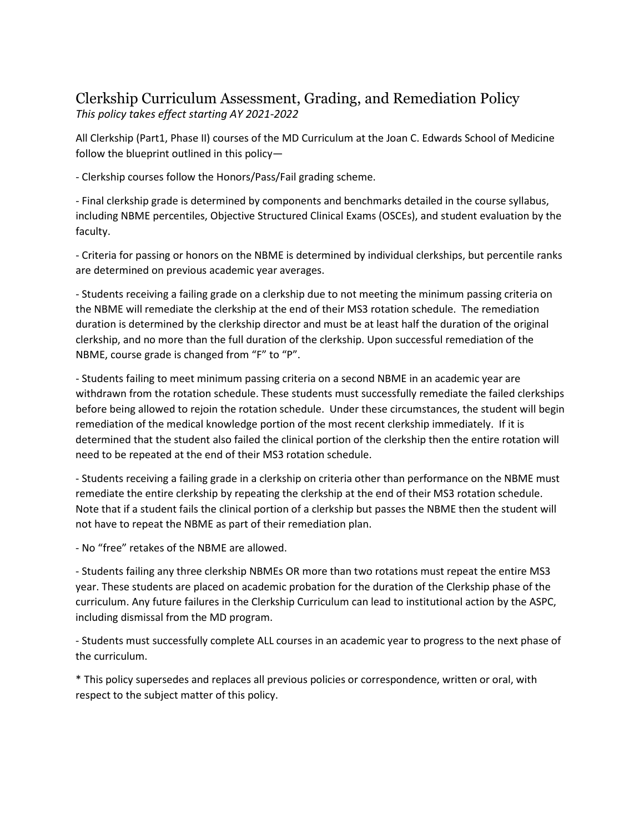## Clerkship Curriculum Assessment, Grading, and Remediation Policy *This policy takes effect starting AY 2021-2022*

All Clerkship (Part1, Phase II) courses of the MD Curriculum at the Joan C. Edwards School of Medicine follow the blueprint outlined in this policy—

- Clerkship courses follow the Honors/Pass/Fail grading scheme.

- Final clerkship grade is determined by components and benchmarks detailed in the course syllabus, including NBME percentiles, Objective Structured Clinical Exams (OSCEs), and student evaluation by the faculty.

- Criteria for passing or honors on the NBME is determined by individual clerkships, but percentile ranks are determined on previous academic year averages.

- Students receiving a failing grade on a clerkship due to not meeting the minimum passing criteria on the NBME will remediate the clerkship at the end of their MS3 rotation schedule. The remediation duration is determined by the clerkship director and must be at least half the duration of the original clerkship, and no more than the full duration of the clerkship. Upon successful remediation of the NBME, course grade is changed from "F" to "P".

- Students failing to meet minimum passing criteria on a second NBME in an academic year are withdrawn from the rotation schedule. These students must successfully remediate the failed clerkships before being allowed to rejoin the rotation schedule. Under these circumstances, the student will begin remediation of the medical knowledge portion of the most recent clerkship immediately. If it is determined that the student also failed the clinical portion of the clerkship then the entire rotation will need to be repeated at the end of their MS3 rotation schedule.

- Students receiving a failing grade in a clerkship on criteria other than performance on the NBME must remediate the entire clerkship by repeating the clerkship at the end of their MS3 rotation schedule. Note that if a student fails the clinical portion of a clerkship but passes the NBME then the student will not have to repeat the NBME as part of their remediation plan.

- No "free" retakes of the NBME are allowed.

- Students failing any three clerkship NBMEs OR more than two rotations must repeat the entire MS3 year. These students are placed on academic probation for the duration of the Clerkship phase of the curriculum. Any future failures in the Clerkship Curriculum can lead to institutional action by the ASPC, including dismissal from the MD program.

- Students must successfully complete ALL courses in an academic year to progress to the next phase of the curriculum.

\* This policy supersedes and replaces all previous policies or correspondence, written or oral, with respect to the subject matter of this policy.